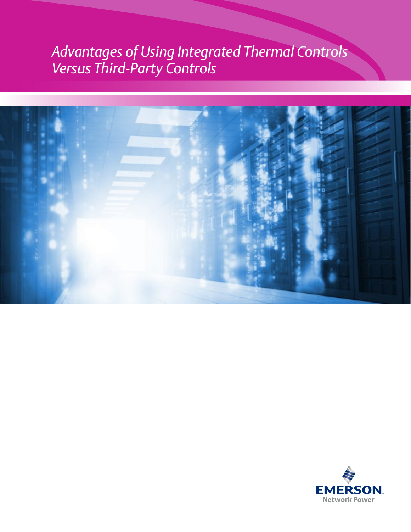## *Advantages of Using Integrated Thermal Controls Versus Third-Party Controls*



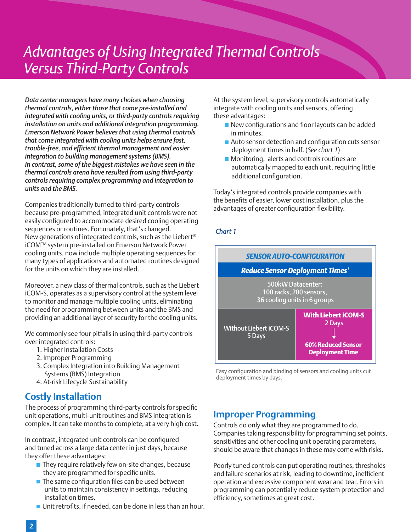## *Advantages of Using Integrated Thermal Controls Versus Third-Party Controls*

*Data center managers have many choices when choosing thermal controls, either those that come pre-installed and integrated with cooling units, or third-party controls requiring installation on units and additional integration programming. Emerson Network Power believes that using thermal controls that come integrated with cooling units helps ensure fast, trouble-free, and efficient thermal management and easier integration to building management systems (BMS). In contrast, some of the biggest mistakes we have seen in the thermal controls arena have resulted from using third-party controls requiring complex programming and integration to units and the BMS.*

Companies traditionally turned to third-party controls because pre-programmed, integrated unit controls were not easily configured to accommodate desired cooling operating sequences or routines. Fortunately, that's changed. New generations of integrated controls, such as the Liebert® iCOM™ system pre-installed on Emerson Network Power cooling units, now include multiple operating sequences for many types of applications and automated routines designed for the units on which they are installed.

Moreover, a new class of thermal controls, such as the Liebert iCOM-S, operates as a supervisory control at the system level to monitor and manage multiple cooling units, eliminating the need for programming between units and the BMS and providing an additional layer of security for the cooling units.

We commonly see four pitfalls in using third-party controls over integrated controls:

- 1. Higher Installation Costs
- 2. Improper Programming
- 3. Complex Integration into Building Management Systems (BMS) Integration
- 4. At-risk Lifecycle Sustainability

### **Costly Installation**

The process of programming third-party controls for specific unit operations, multi-unit routines and BMS integration is complex. It can take months to complete, at a very high cost.

In contrast, integrated unit controls can be configured and tuned across a large data center in just days, because they offer these advantages:

- $\blacksquare$  They require relatively few on-site changes, because they are programmed for specific units.
- $\blacksquare$  The same configuration files can be used between units to maintain consistency in settings, reducing installation times.
- Unit retrofits, if needed, can be done in less than an hour.

At the system level, supervisory controls automatically integrate with cooling units and sensors, offering these advantages:

- New configurations and floor layouts can be added in minutes.
- Auto sensor detection and configuration cuts sensor deployment times in half. (*See chart 1*)
- **Monitoring, alerts and controls routines are**  automatically mapped to each unit, requiring little additional configuration.

Today's integrated controls provide companies with the benefits of easier, lower cost installation, plus the advantages of greater configuration flexibility.

#### *Chart 1*



Easy configuration and binding of sensors and cooling units cut deployment times by days.

### **Improper Programming**

Controls do only what they are programmed to do. Companies taking responsibility for programming set points, sensitivities and other cooling unit operating parameters, should be aware that changes in these may come with risks.

Poorly tuned controls can put operating routines, thresholds and failure scenarios at risk, leading to downtime, inefficient operation and excessive component wear and tear. Errors in programming can potentially reduce system protection and efficiency, sometimes at great cost.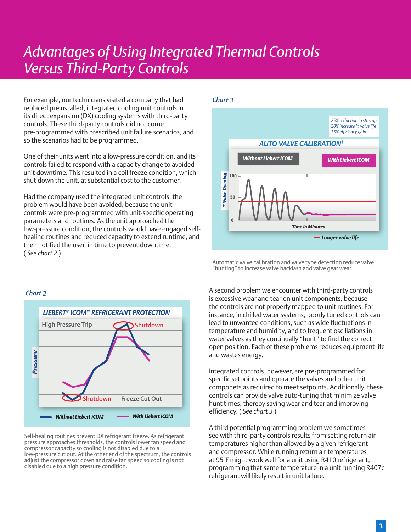## *Welcome to the DCIM Lab Advantages of Using Integrated Thermal Controls Versus Third-Party Controls*

For example, our technicians visited a company that had replaced preinstalled, integrated cooling unit controls in its direct expansion (DX) cooling systems with third-party controls. These third-party controls did not come pre-programmed with prescribed unit failure scenarios, and so the scenarios had to be programmed.

One of their units went into a low-pressure condition, and its controls failed to respond with a capacity change to avoided unit downtime. This resulted in a coil freeze condition, which shut down the unit, at substantial cost to the customer.

Had the company used the integrated unit controls, the problem would have been avoided, because the unit controls were pre-programmed with unit-specific operating parameters and routines. As the unit approached the low-pressure condition, the controls would have engaged selfhealing routines and reduced capacity to extend runtime, and then notified the user in time to prevent downtime. ( *See chart 2* )

# *LIEBERT® iCOM™ REFRIGERANT PROTECTION Without Liebert iCOM With Liebert iCOM* Shutdown Shutdown *Pressure* High Pressure Trip Freeze Cut Out

Self-healing routines prevent DX refrigerant freeze. As refrigerant pressure approaches thresholds, the controls lower fan speed and compressor capacity so cooling is not disabled due to a low-pressure cut out. At the other end of the spectrum, the controls adjust the compressor down and raise fan speed so cooling is not disabled due to a high pressure condition.

#### *Chart 3*



Automatic valve calibration and valve type detection reduce valve "hunting" to increase valve backlash and valve gear wear.

A second problem we encounter with third-party controls is excessive wear and tear on unit components, because the controls are not properly mapped to unit routines. For instance, in chilled water systems, poorly tuned controls can lead to unwanted conditions, such as wide fluctuations in temperature and humidity, and to frequent oscillations in water valves as they continually "hunt" to find the correct open position. Each of these problems reduces equipment life and wastes energy.

Integrated controls, however, are pre-programmed for specific setpoints and operate the valves and other unit componets as required to meet setpoints. Additionally, these controls can provide valve auto-tuning that minimize valve hunt times, thereby saving wear and tear and improving efficiency. ( *See chart 3* )

A third potential programming problem we sometimes see with third-party controls results from setting return air temperatures higher than allowed by a given refrigerant and compressor. While running return air temperatures at 95°F might work well for a unit using R410 refrigerant, programming that same temperature in a unit running R407c refrigerant will likely result in unit failure.

## *Chart 2*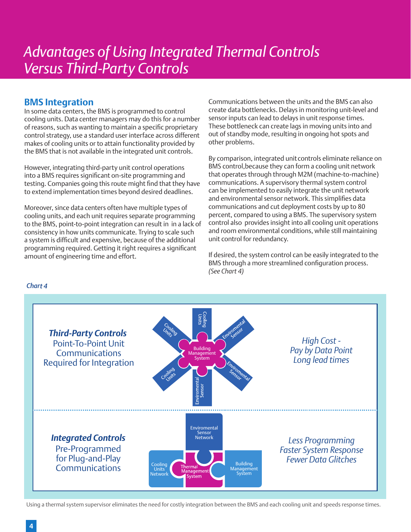#### **BMS Integration**

In some data centers, the BMS is programmed to control cooling units. Data center managers may do this for a number of reasons, such as wanting to maintain a specific proprietary control strategy, use a standard user interface across different makes of cooling units or to attain functionality provided by the BMS that is not available in the integrated unit controls.

However, integrating third-party unit control operations into a BMS requires significant on-site programming and testing. Companies going this route might find that they have to extend implementation times beyond desired deadlines.

Moreover, since data centers often have multiple types of cooling units, and each unit requires separate programming to the BMS, point-to-point integration can result in in a lack of consistency in how units communicate. Trying to scale such a system is difficult and expensive, because of the additional programming required. Getting it right requires a significant amount of engineering time and effort.

Communications between the units and the BMS can also create data bottlenecks. Delays in monitoring unit-level and sensor inputs can lead to delays in unit response times. These bottleneck can create lags in moving units into and out of standby mode, resulting in ongoing hot spots and other problems.

By comparison, integrated unit controls eliminate reliance on BMS control,because they can form a cooling unit network that operates through through M2M (machine-to-machine) communications. A supervisory thermal system control can be implemented to easily integrate the unit network and environmental sensor network. This simplifies data communications and cut deployment costs by up to 80 percent, compared to using a BMS. The supervisory system control also provides insight into all cooling unit operations and room environmental conditions, while still maintaining unit control for redundancy.

If desired, the system control can be easily integrated to the BMS through a more streamlined configuration process. *(See Chart 4)* 



#### Using a thermal system supervisor eliminates the need for costly integration between the BMS and each cooling unit and speeds response times.

#### *Chart 4*